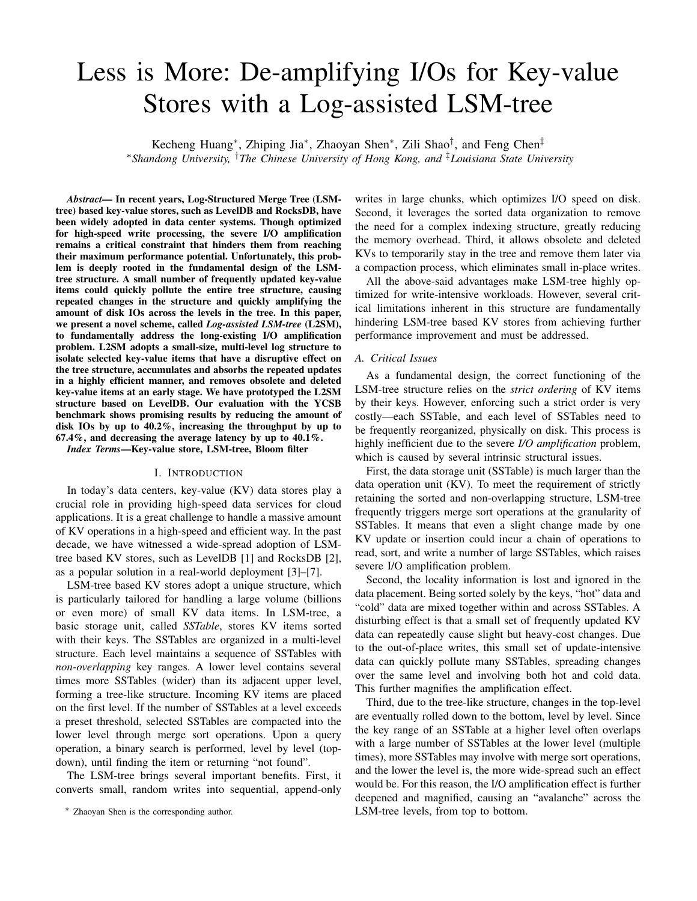# Less is More: De-amplifying I/Os for Key-value Stores with a Log-assisted LSM-tree

Kecheng Huang<sup>∗</sup>, Zhiping Jia<sup>∗</sup>, Zhaoyan Shen<sup>∗</sup>, Zili Shao<sup>†</sup>, and Feng Chen<sup>‡</sup> <sup>∗</sup>*Shandong University,* †*The Chinese University of Hong Kong, and* ‡*Louisiana State University*

*Abstract*— In recent years, Log-Structured Merge Tree (LSMtree) based key-value stores, such as LevelDB and RocksDB, have been widely adopted in data center systems. Though optimized for high-speed write processing, the severe I/O amplification remains a critical constraint that hinders them from reaching their maximum performance potential. Unfortunately, this problem is deeply rooted in the fundamental design of the LSMtree structure. A small number of frequently updated key-value items could quickly pollute the entire tree structure, causing repeated changes in the structure and quickly amplifying the amount of disk IOs across the levels in the tree. In this paper, we present a novel scheme, called *Log-assisted LSM-tree* (L2SM), to fundamentally address the long-existing I/O amplification problem. L2SM adopts a small-size, multi-level log structure to isolate selected key-value items that have a disruptive effect on the tree structure, accumulates and absorbs the repeated updates in a highly efficient manner, and removes obsolete and deleted key-value items at an early stage. We have prototyped the L2SM structure based on LevelDB. Our evaluation with the YCSB benchmark shows promising results by reducing the amount of disk IOs by up to 40.2%, increasing the throughput by up to 67.4%, and decreasing the average latency by up to 40.1%.

*Index Terms*—Key-value store, LSM-tree, Bloom filter

#### I. INTRODUCTION

In today's data centers, key-value (KV) data stores play a crucial role in providing high-speed data services for cloud applications. It is a great challenge to handle a massive amount of KV operations in a high-speed and efficient way. In the past decade, we have witnessed a wide-spread adoption of LSMtree based KV stores, such as LevelDB [1] and RocksDB [2], as a popular solution in a real-world deployment [3]–[7].

LSM-tree based KV stores adopt a unique structure, which is particularly tailored for handling a large volume (billions or even more) of small KV data items. In LSM-tree, a basic storage unit, called *SSTable*, stores KV items sorted with their keys. The SSTables are organized in a multi-level structure. Each level maintains a sequence of SSTables with *non-overlapping* key ranges. A lower level contains several times more SSTables (wider) than its adjacent upper level, forming a tree-like structure. Incoming KV items are placed on the first level. If the number of SSTables at a level exceeds a preset threshold, selected SSTables are compacted into the lower level through merge sort operations. Upon a query operation, a binary search is performed, level by level (topdown), until finding the item or returning "not found".

The LSM-tree brings several important benefits. First, it converts small, random writes into sequential, append-only

writes in large chunks, which optimizes I/O speed on disk. Second, it leverages the sorted data organization to remove the need for a complex indexing structure, greatly reducing the memory overhead. Third, it allows obsolete and deleted KVs to temporarily stay in the tree and remove them later via a compaction process, which eliminates small in-place writes.

All the above-said advantages make LSM-tree highly optimized for write-intensive workloads. However, several critical limitations inherent in this structure are fundamentally hindering LSM-tree based KV stores from achieving further performance improvement and must be addressed.

## *A. Critical Issues*

As a fundamental design, the correct functioning of the LSM-tree structure relies on the *strict ordering* of KV items by their keys. However, enforcing such a strict order is very costly—each SSTable, and each level of SSTables need to be frequently reorganized, physically on disk. This process is highly inefficient due to the severe *I/O amplification* problem, which is caused by several intrinsic structural issues.

First, the data storage unit (SSTable) is much larger than the data operation unit (KV). To meet the requirement of strictly retaining the sorted and non-overlapping structure, LSM-tree frequently triggers merge sort operations at the granularity of SSTables. It means that even a slight change made by one KV update or insertion could incur a chain of operations to read, sort, and write a number of large SSTables, which raises severe I/O amplification problem.

Second, the locality information is lost and ignored in the data placement. Being sorted solely by the keys, "hot" data and "cold" data are mixed together within and across SSTables. A disturbing effect is that a small set of frequently updated KV data can repeatedly cause slight but heavy-cost changes. Due to the out-of-place writes, this small set of update-intensive data can quickly pollute many SSTables, spreading changes over the same level and involving both hot and cold data. This further magnifies the amplification effect.

Third, due to the tree-like structure, changes in the top-level are eventually rolled down to the bottom, level by level. Since the key range of an SSTable at a higher level often overlaps with a large number of SSTables at the lower level (multiple times), more SSTables may involve with merge sort operations, and the lower the level is, the more wide-spread such an effect would be. For this reason, the I/O amplification effect is further deepened and magnified, causing an "avalanche" across the LSM-tree levels, from top to bottom.

<sup>∗</sup> Zhaoyan Shen is the corresponding author.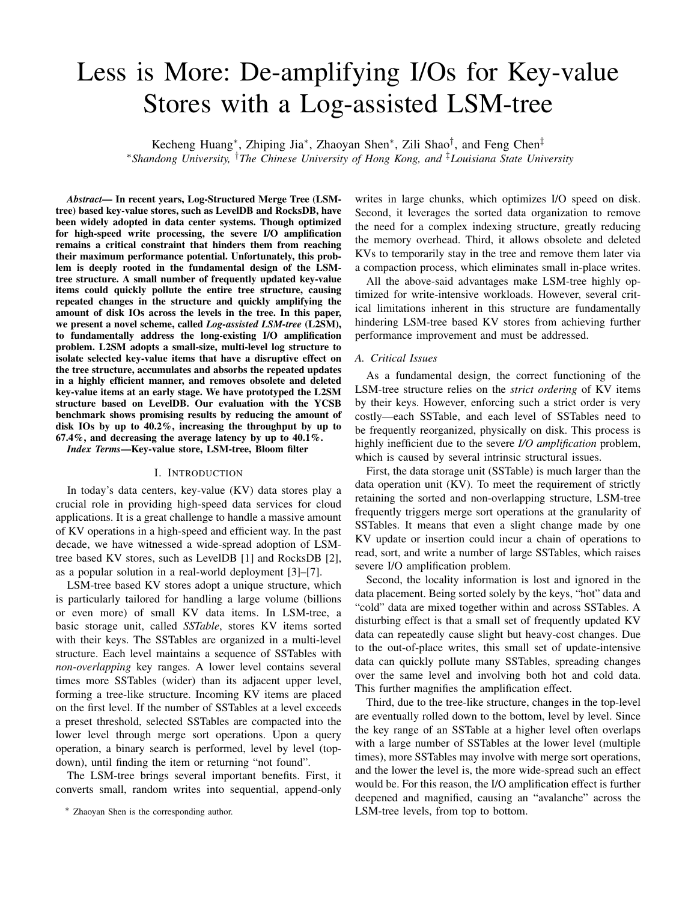# *B. Optimizing LSM-tree Structure*

The above-said problem, unfortunately, is deeply rooted in the fundamental design of the LSM-tree structure. As the KV data store scales up, these issues would become more prominent with a wider and deeper tree structure. A great challenge is—*how to retain the advantages of the LSM-tree based structure but avoid its negative effects?*

In this paper, we present a highly effective solution, called *Log-assisted LSM-tree* (L2SM), to fundamentally address the above-said issues. We aim to retain all the benefits brought by the basic LSM-tree structure but remove the detrimental I/O amplification effect. Our principal idea is to retain the stableness of LSM-tree to the maximum extent.

In essence, the source of all the previously mentioned problems is the frequent, disruptive changes to the tree structure, which forces the involved SSTables to be reorganized repeatedly. By removing, isolating, and delaying such changes, we can minimize their impact on the current status and stabilize the tree structure, which eliminates the root cause of I/O amplification from the beginning.

L2SM accomplishes this by extending the current LSMtree with a separated log structure, called *SST-Log*. This log structure serves three important purposes. First, it is used as a buffer to isolate KV items that receive frequent updates. Hot KVs are separated from the LSM-tree, protecting the tree structure from being polluted repeatedly. Second, we identify and move "sparse" SSTables, which overlap with many SSTables in the lower level, out of the tree and give them a chance to be condensed in the log. Moreover, obsolete and deleted KVs are removed at an early stage, without being rolled down into lower levels, which avoids unnecessary I/Os and releases the occupied disk space. Third, the log also delays changes to the LSM-tree, which creates an opportunity to collapse multiple structure-impacting changes (e.g., overlapped updates, deletes) into a fewer number of operations.

All these optimization measures strive to achieve one goal remove the operations that could potentially destabilize the LSM-tree structure as early as possible. In fact, due to the amplification effect, making such an optimization close to the source of the problem results in a super-linear reduction of I/O operations at greater effectiveness.

It is worth mentioning that our work is different from prior works in that L2SM focuses on addressing the structural problem of the original LSM-tree by proactively identifying and isolating the data that disrupts the tree structure in a separate log structure, which stabilizes the tree structure, removes unnecessary changes, and minimizes I/O amplification. Our contributions in this paper are summarized as follows:

We introduce a novel Log-assisted LSM-tree to improve system performance and reduce disk IOs by enhancing LSM-tree with a small, dedicated log component.

We design an auto-tuning Hotness Detecting Bitmap (HotMap) and an SSTable density estimation scheme to identify KV items that frequently cause small but heavycost changes to the LSM-tree.

We propose Pseudo Compaction and Aggregated Compaction to condense the SSTables in the log and delay the changes to the LSM-tree.

We have implemented a full-featured prototype based on Google's LevelDB [1] and performed a set of experiments to demonstrate the effectiveness of L2SM. We have also released the open-source code of L2SM [8].

The rest of the paper is organized as follows. Section II introduces background and motivation. Section III describes the design and implementation. Section IV gives the performance evaluation results. Section V describes the related work. The final section concludes this paper.

## II. BACKGROUND & MOTIVATION

In this section, we introduce the background about LSM-tree based KV stores and give an example to explain the problem that motivates this paper.

# *A. LSM-tree based KV Store*

A typical LSM-tree based KV store [9] consists of both in-memory and on-disk components. A *MemTable* (memory table) and an *ImmuTable* (immutable memory table) are maintained in main memory. A set of *SSTables* (sorted string table) store KV data persistently on disk and are logically organized in multiple levels. Except Level 0 (L0), the KV items of a level are sorted in order of the keys, meaning that the key ranges of SSTables on the same level are non-overlapping.

All KV write operations are first served in the MemTable. If the MemTable is filled up, its KV items are sorted and converted to an ImmuTable, which can no longer be updated. Then, the ImmuTable is appended to L0 as a persistent SSTable. This process is called *Minor Compaction*. Thus, the key ranges of different SSTables in L0 may have overlaps. If the size of L0 exceeds a preset threshold, a heavy-weight *Major Compaction* process is triggered to compact all overlapping SSTables to L1. The major compaction process performs *Merge Sort* operations to merge the L0 SSTables with the SSTables in L1 that have overlapping key ranges. The sorted KV items are written back to L1 in newly formed SSTables. Similarly, if the size of L1 or other levels exceeds their size limit, the major compaction process is triggered to select one or multiple SSTables for compaction into the adjacent lower level. In this way, the KV updates are rolled down from the top to the bottom, level by level.

Query handling in LSM-tree KV stores is simple. To locate a KV item in the LSM-tree, we start searching from L0 to the last level. Except for L0, where we need to search all SSTables due to the possible key-range overlapping, for the other levels, only one SSTable needs to be searched due to the sorted structure. Thus, a KV query usually incurs several SSTable searches. To speed up this query process, each SSTable maintains a bloom filter to quickly determine whether a key is possibly in the table or not.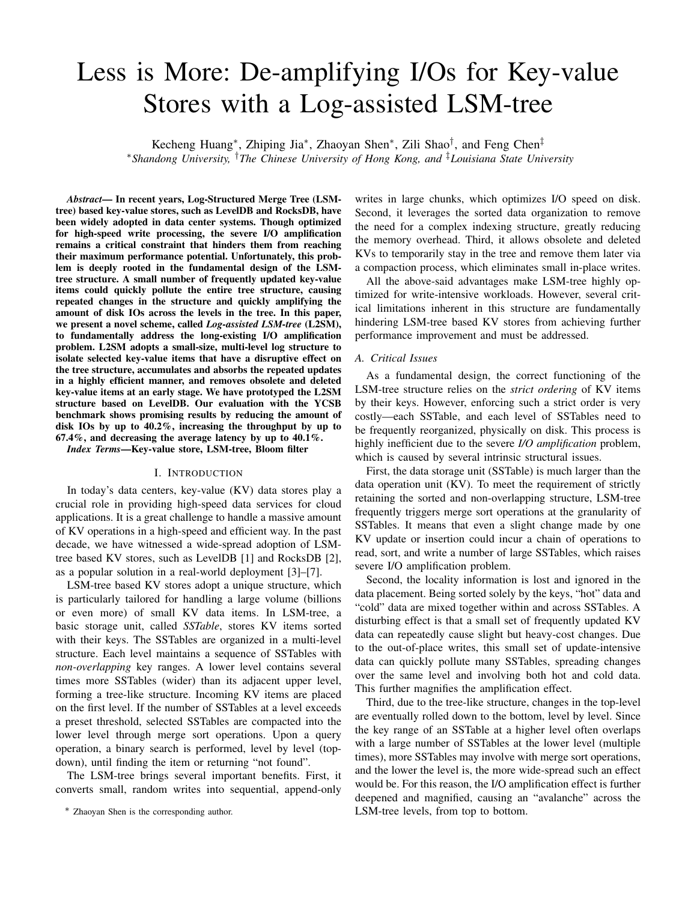

nance overhead in LSM-tree. *B. Motivation*

The unique structure design of LSM-tree makes it highly efficient for managing a large amount of small KV items. However, in real workloads, a fast-pace incoming traffic of random, update-heavy KV requests can quickly pollute the LSM-tree structure, since the compaction process of LSMtree has to maintain sorted, non-overlapping SSTables in each level, which spreads small, random and repeatedly updated entries down to lower levels. In LSM-tree, the deeper the level is, the heavier and more frequently the merge sort operations would be triggered. It forces the system to repeatedly undergo intensive, time-consuming maintenance operations, incurring huge I/O overheads.

We show a simple example in Figure 1 to illustrate the expensive maintenance cost. Assume two LSM-tree levels, Level<sub>k</sub> (denoted as  $L_k$ ) and Level<sub>k+1</sub> (denoted as  $L_{k+1}$ ). At time  $t_i$ ,  $t_{i+1}$  and  $t_{i+2}$ ,  $L_k$  is filled up and demands to compact one SSTable down to  $L_{k+1}$ . The selected SSTable overlaps with four SSTables at  $L_{k+1}$ . Thus, a merge sort operation involving five SSTables has to be performed each time. In total, there are 15 SSTables involved.

Specifically, due to the tree-like structure, the size of each level increases exponentially, from top to bottom. Compacting a victim SSTable at  $L_k$  would involve multiple times more SSTables (four SSTables in this example) at a lower level,  $L_{k+1}$ , causing an amplification effect. Even worse, due to the locality in real workloads, the three victim SSTables selected at  $L_k$  (each selected at time  $t_i$ ,  $t_{i+1}$ , and  $t_{i+2}$ ) are very likely to have overlaps (e.g., a few hot KV items could be repeatedly updated and pollute a range of KVs.). The amplification effect is further magnified over time.

To illustrate this effect, we have performed a preliminary test on LevelDB [1]. We randomly insert 80 million KV items to the data store. The size of each KV item is set as 1KB. The detailed experimental setup can be found in Section IV. Figure 2 shows the amount of disk IOs involved at each level along the time. We can see that, at each level, the disk IO amount increases with the arrivals of incoming requests, which is as expected. The amount of disk IOs of L0 increases at a rate nearly identical to the incoming requests. This is because the KV items buffered in memory are directly flushed into L0 as SSTables and the KV items of different SSTables in L0 are not sorted. Thus, there is almost no maintenance overhead in L0. However, as the level gets deeper, the growth rate of disk IO amount also increases. In other words, the lower the level is, the more disk IOs are involved, at an accelerating pace.



Fig. 3. Overview of L2SM architecture.

Thus, it is more severely impacted by the amplification effect. At the end of the test, the maintenance I/O overhead of L3 is up to 5 times as large as the amount of the incoming requests. This example vividly shows the I/O amplification over levels.

## III. L2SM DESIGN

We propose a highly efficient solution, called *Log-assisted LSM-tree* (L2SM), to fundamentally address the critical I/O amplification challenge. In this section, we will first give an overview of the proposed architecture, and then present the design details of each component.

# *A. Architecture Overview*

A key design goal of L2SM is to retain the benefits of the LSM-tree structure, but remove the detrimental I/O amplification effect. L2SM accomplishes this by extending the core LSM-tree structure with a set of highly optimized mechanisms.

As illustrated in Figure 3, L2SM maintains KV data in both memory and disk storage. (1) In-memory structures: Similar to the classic LSM-tree, L2SM retains the two inmemory structures of LSM-tree, *MemTable* and *ImmuTable*, as a staging buffer to organize small, random KV items into large, sequential I/Os. (2) **On-disk structures**: Unlike the classic LSM-tree, data on the disk storage is divided into two parts, *LSM-tree* and *SST-Log*, respectively. The tree part functions similarly to the traditional LSM-tree. A critical change is the addition of the SST-Log part. SST-Log is a multi-level structure designed for achieving the key purpose—absorbing the operations that destabilize the LSM-tree structure. Except for L0 and the last level, each level of SST-Log aligns horizontally with the corresponding tree level, and also contains a list of SSTables. The purpose is to make the log absorb the most frequent and disruptive changes, protecting the tree in a stable status with minimal updates.

Data flow in the L2SM structure is as follows. (1) Incoming KV items are first packed into the MemTable and then converted to the ImmuTable. Next, the *Minor Compaction* (MC) process merges the ImmuTable into L0 as a persistent SSTable. (2) When the number of SSTables of any level exceeds the size limit, we monitor and identify the SSTables that could potentially impact the tree structure, such as those with a sparse or hot key range. A *Pseudo Compaction* (PC) process moves the selected SSTables into the same level's SST-Log, which is managed by a *Log Metadata Manager*. Note that PC does not incur any physical I/O but only updates the metadata structures. (3) If the size of an SST-Log level exceeds its limit,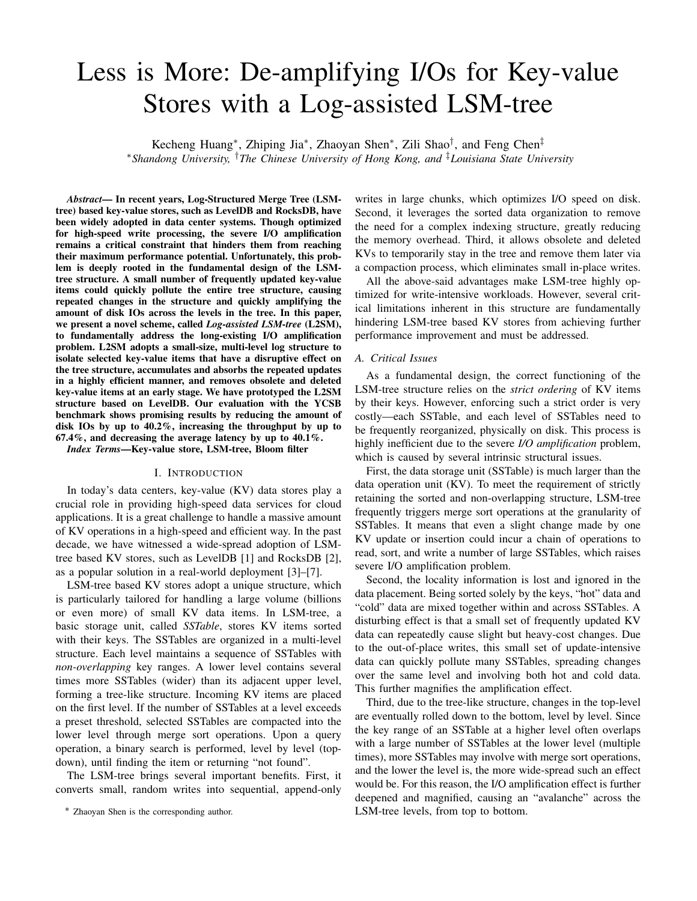an *Aggregated Compaction* (AC) process selects and evicts victim SSTables from the log and merges with the overlapped SSTables at the lower level of the tree. Hence, in L2SM, a KV item first moves horizontally from the tree to the log, and then moves back and vertically down to the tree, and so on. This process repeats and the log filters the disruptive updates out of the tree, level by level.

# *B. LSM-Tree and SST-Log*

In L2SM, KV data are stored persistently in either the LSMtree or the SST-Log. The two areas are *logically* separated by maintaining each level's log in a preset size proportional to the same level of the tree. The two service processes, PC and AC, are periodically activated to maintain the target sizes. In our prototype, the total size of all SST-Logs is set to no more than 10% of the LSM-tree. We will discuss the effect of SST-Log size in Section III-B2.

*1)* LSM-tree*:* In L2SM, the LSM-tree part is designed to mostly maintain KV data that are rarely updated and have dense key coverage. The management in L2SM is similar to the traditional LSM-tree design the following differences.

First, in the original LSM-tree, the compaction process at each level merges SSTables into the next level, always in the top-down manner. In L2SM, the compaction process splits into two: the PC process moves SSTables horizontally from the tree to the log at the same level; the AC process merges SSTables from the log down into the lower level of the tree.

Second, the compaction process in the original LSM-tree selects SSTable for compaction based on the key-range order. In contrast, the PC and AC processes select SSTables based on their properties (hotness and density).

Third, the LSM-tree usually selects one SSTable for compaction into the lower level each time. The AC in L2SM usually selects multiple SSTables from the log for creating a denser structure and better I/O performance.

*2)* SST-Log*:* SST-Log, a multi-level log structure, is maintained as an extension to the LSM-tree. SST-Log serves four main purposes: (1) It provides an isolated space to separate the "hot" (frequently updated) data, which repeatedly pollutes the structure, out of the tree. (2) It provides a buffer zone to identify and condense the "sparse" SSTables, which contain a few keys covering a wide range, before merging them into the tree. (3) It delays and mitigates disruptive operations, e.g., accumulating multiple updates into one. (4) It allows us to remove the obsolete and deleted data out of the tree early.

The basic structure of SST-Log is shown in Figure 3. Except for L0 and the last level, a linked list of SSTables, called a *log*, is maintained for each level. The log organizes the SSTables that are selected and moved from the same level of the tree in a *unidirectional* manner. That means, once an SSTable is moved from the tree into the log, it either stays in the log or is further merged by AC down into the lower level of the tree, but it never moves back to the same level of the tree. It guarantees that the most recent version can always be found if following the right order (e.g.,  $Tree_n$  !  $Log_n$  !  $Tree_{n+1}$  !  $Log_{n+1}...$ ).

Unlike at a tree level, the SSTables in a log may have overlapped key ranges. Multiple versions of the same KV items could co-exist simultaneously in a log. When looking for a KV item, all the SSTables whose key ranges cover the target key need to be searched. In contrast, in LSMtree, the SSTables of a level are sorted by their keys and strictly non-overlapping (a key only appears in one SSTable). Allowing such overlapping is essential in L2SM, since the log is designed to absorb and accumulate multiple updates, which can be collapsed into one in the AC process. To accelerate the in-log search, we use Bloom Filters for quick filtering. More details will be discussed in Section III-D.

Determining the log size. SST-Log is a multi-level structure. The size (i.e., the number of SSTables) of each level's log has a limit. A naïve solution is to set the log sizes of different levels to the same, or the same percentage proportional to the tree size. Both solutions are sub-optimal for two reasons.

First, the log of each level serves as a buffer, which filters hot and sparse SSTables out of the tree. Due to the filtering effect, the lower the tree level is, the colder and the denser the SSTables are. It means that maintaining a large log may become unnecessary for lower levels. Second, due to the pyramid-like shape of the LSM-tree, the lower levels contain more SSTables than the upper levels, so maintaining the same size or percentage would be either too large or too small.

We design a scheme, called *Inverse Proportional Log Size*, to determine the log size of each level. It works as follows. The log size of a level is proportional to the size of the same level in the tree. From the top-level down, the log-to-tree ratio (proportion) of each level decreases, meaning that an upper level has a larger ratio while a lower level has a smaller ratio.

Assume  $\omega$  is a preset percentage (e.g., 10%) of the entire SST-Log size to the LSM-tree size with h levels, and  $\lambda$ is the log-to-tree size ratio of the first level. For a given  $m$  (L0 size) and q (increasing rate of levels for the LSMtree), we can calculate the value of  $\lambda$  to meet the requirement  $\sum_{j=1}^{h-2} m$   $g^j$   $\lambda^j < (\sum_{i=0}^{h-1} m$   $g^i)$   $\omega$ . Note that due to the pyramid-like shape of the tree structure, the decreasing ratio unnecessarily means that the log size decreases. For example, if a tree has 10 SSTables at L2, the log size of L2 is 5 SSTables (50%), and the tree has 20 SSTables at L3, the log size of L3 could still be 5 SSTables (25%). When the number of SSTables exceeds the log size limit, AC is activated to select and merge SSTables down to the next level.

## *C. Hotness and Density*

To mitigate the disruptive interference to the LSM-tree structure, we need to identify the frequently updated and the sparse SSTables, and isolate them in the SST-Log part to stabilize the LSM-tree structure.

We use two metrics, *hotness* and *density*, to quantitatively measure the properties of an SSTable. *hotness* measures how frequently the KV items of an SSTable are updated. *density* measures how large the key range of an SSTable covers and impacts. The two metrics together describe the severity of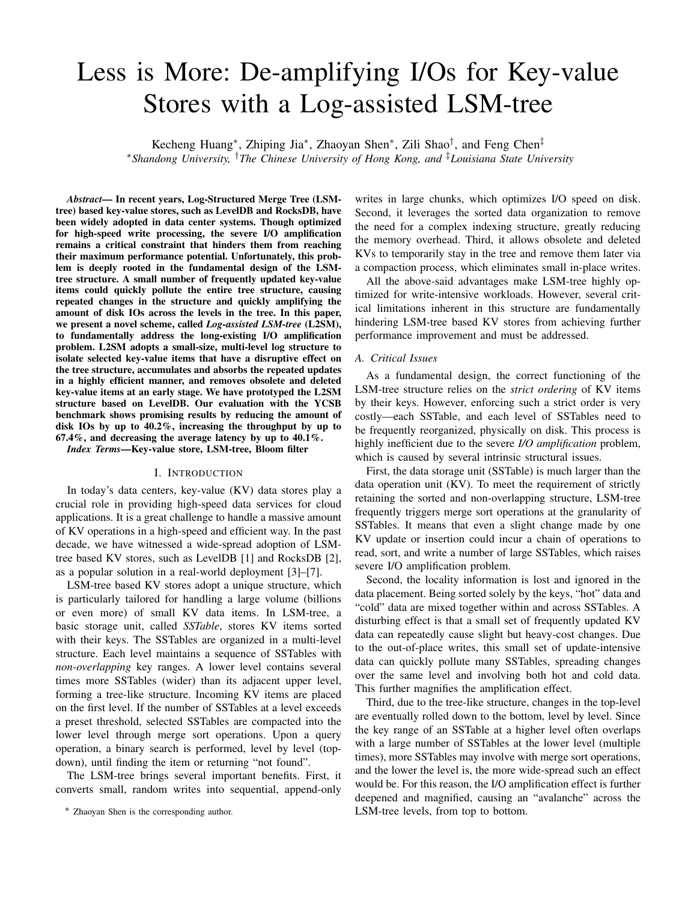

the potential disruptive interference that could be caused by holding the KV items in the LSM-tree. The former describes the temporal property (frequency), and the latter describes the spatial property (breadth).

*1)* Hotness of SSTables*:* L2SM maintains a *Hotness Detecting Bitmap* (HotMap) to quantitatively measure the hotness of an SSTable. HotMap is a global, in-memory data structure consisting of multiple layers of *bloom filters* [10].

**Bloom Filter.** A bloom filter is an array of  $P$  bits, which are initialized to 0. A set of  $K$  hash functions (e.g., MurmurHash  $[11]$  with K seeds) are used to determine the corresponding  $K$  bits in the bit array. Upon an update to a key x, the k-th hash function  $H_k(x)$  is computed and points to a bit in the array, which is set to 1. All  $K$  bits are set in such a way. Upon a query for a key, if all the  $K$  corresponding bits are found set, it indicates that the key has been updated.

Note that a bloom filter may have false positive but never have false negative. To control the false positive rate, a bloom filter of  $P$  bits is expected to record at most  $N$  unique keys (a.k.a. the *capacity* of the bloom filter) with a low falsepositive rate. The capacity  $N$  is designated when the bloom filter is created. More details can be found in prior work [12]. Hotness Detecting Bitmap. We use multiple layers of bloom filters to record an abstract history of key updates. As shown in Figure 4, an  $M$ -layer HotMap is composed of  $M$  aligned bloom filters. The  $i$ -th update to a KV item sets the corresponding bits in the  $i$ -th bloom filter. Thus, a  $M$ -layer HotMap can record up to  $M$  updates for any given KV item. We do not further differentiate updates over  $M$  times. If  $m$  bloom filters indicate that a KV item is updated, we can determine that the KV item has been updated for no less than  $m$  times. By calculating the number of positive responses by HotMap layers, we can determine the relative hotness of a key. As shown in the figure, the number of updates of key  $X1$  is m and the number of updates of key X2 is 2.

Hotness value calculation. An SSTable's hotness is determined by its contained keys. The hotness value of an SSTable is calculated as  $\sum_{i=1}^{m} (x_i - 2)$  $i$ ), where  $x_i$  is the number of keys in the SSTable that are indicated positive in the  $i$ -th bloom filter (i.e., the number of keys being updated for  $i$  times). Note that an exponential function is adopted to assign different weights to different bloom filter layers, because we desire to identify SSTables that contain frequently updated hot keys, rather than many warm keys. In other words, the higher the layer is, the more vital it is.

Configuring HotMap. The effectiveness of the HotMap is determined by two important parameters, M and P. A critical challenge is how to determine a proper configuration for the two parameters, and how to retain their effectiveness and adapt



to the workloads during runtime.

**Configuring**  $M$ .  $M$ , the number of HotMap Layers, determines how many updates we can use to differentiate hot and cold keys. A large M means a more accurate HotMap but also higher memory overhead. We use a simple method to set M. For a given workload with r requests to access n unique keys, the average number of requests being received by a key is  $\tau = r/n$ , and we use  $M = dr/ne$  to set the number of layers. The rationale is simple—if a KV item has been updated more frequently than the average, it is considered as a hot item, and there is no need to further track its exact number of updates; otherwise, it is regarded as a cold item (below average). The  $\tau$  is about 4.54 in a Skewed Zipfian distribution, and 2.32 in a Scrambled Zipfian distribution. Thus, in our prototype, we set M to 5 layers, which is more than sufficient.

**Configuring**  $P$ .  $P$ , the bit array size, determines the effectiveness of a bloom filter. With a small bit array size (a small  $P$ ), the bloom filter would suffer a high false-positive rate. Let  $\rho$  represent the ratio of hot keys (being updated more than  $\tau$  times) to all the unique keys in a workload. Assume  $N$  unique keys in total and  $K$  hash functions used in the bloom filter, according to prior study on bloom filters [12], the bit array size should be set as  $P = \frac{K}{\ln 2}$ . In a Skewed Zipfian distribution,  $\rho$  is 6.5%, and 5% in Scrambled Zipfian distribution. According to the unique keys in our workloads, our prototype sets  $P$  to 4 million bits initially.

Auto-tuning HotMap. As time elapses, the HotMap will be gradually filled up, eventually losing the ability of reliably differentiating hot and cold keys. Thus an important task is to ensure the HotMap to be adaptive to the workloads and to be continuously effective during runtime.

To retain a low false-positive rate, we need to expand and update the HotMap periodically. A simple method is to keep track of the first (top) bloom filter, which records the oldest KV updates. If the first bloom filter is approaching to its capacity limit (a.k.a., having received  $N$  unique keys), we retire this (oldest) bloom filter by resetting all its bits to 0, enlarge its capacity by 10% and rotate it to the bottom layer; the second bloom filter, in turn, becomes the new top bloom filter. Thus, the HotMap size can be expanded.

This simple solution has two potential problems. First, the HotMap size may keep growing quickly. Second, adjacent layers may receive the same number of keys, thus cannot provide enough information for us to differentiate hot and cold keys. To handle these two issues, we propose an *Online Adaptive Auto-tuning* scheme to automatically adjust the M bloom filter arrays.

Several scenarios would trigger the tuning scheme to adjust the array size. As shown in Figure 5, if the first (top) bloom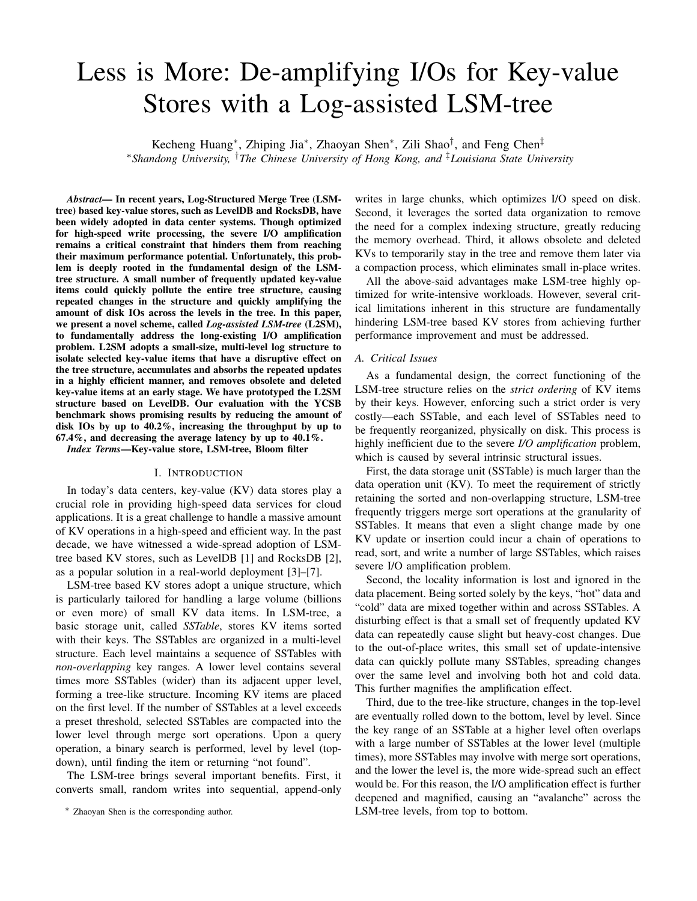filter is approaching to its capacity limit, which indicates that the HotMap is too small to reliably serve the purpose with a low false-positive rate, we retire this layer. When retiring this layer, we further check its following layer. If the size of the following layer is consumed more than 20%, we enlarge the size of the top bloom filter by 10%, reset all its bits to 0, and rotate it to the bottom layer, as shown in Figure  $5(a)$ ; Otherwise, if the following layer is consumed less than 20%, to save space, we directly make the size of the top bloom filter the same as the current bottom layer, reset all its bits to 0, and rotate it to the bottom layer, as shown in Figure 5(b). The rationale is that if the second layer does not receive many keys, it is very likely that most keys are cold (updated only once) and the working set is not growing, thus the current HotMap size is sufficient.

Suppose the top bloom filter is large enough to contain all unique writes, if the unique keys accepted by any two adjacent layers are too close (e.g., the difference of accepted insertions between two layers is less than 10%, and each layer occupies more than 20% of the layer size), it means that the two adjacent layers are similar, which happens when the set of keys is repeatedly updated. Thus we may remove one layer to retain the effectiveness of the HotMap. In this case, we also retire the top filter layer by resetting and rotating it to the bottom layer, as shown in Figure 5(c). The size of the rotated layer equals the size of the current bottom layer.

The purpose of the above-said mechanism is to ensure that the multiple layers of the HotMap are able to adapt to workload changes, and also provide enough information for us to differentiate hot and cold keys. In Section IV, we run a set of workloads with various distributions to evaluate the effectiveness of this scheme.

Overhead. Maintaining and updating the HotMap would incur additional memory and computational cost. The memory overhead is relatively small, with  $M$   $P$  bits in total. For typical workloads,  $M$  is 5 and  $P$  is 4 million, the overhead is roughly 2.5 MB. For different workloads, the HotMap ranges from 2.5 million to 40 million bytes.

The hash functions also incur extra computational overhead. Ideally, upon each key update, the HotMap should be updated, involving  $K$  hash-function calculations. To avoid the excessively high computational burden, we only update the HotMap when the KV items are compacted from L0 to L1. This is for two purposes. First, it avoids introducing a perceivable delay for each in-memory update in MemTable (the critical path). Since we only perform hash calculations when slow compaction I/Os happens, the delay is made asynchronous and negligible. Second, we should note that our purpose is to roughly differentiate the *relative* hotness, rather than accurately count the number of updates. Losing some accuracy would not incur significant differences, but brings significant speedup. Although we may miss some KV updates in memory, this optimization is acceptable because the updates happened in memory would not incur extra disk IOs anyway.

*2)* Density of SSTables*:* Density is another important factor affecting the tree structure. A dense SSTable has a large number of KV items concentrated in one small range, which potentially overlaps with fewer SSTables of the lower level, and during the compaction, fewer SSTables would be involved in merge sort. Thus, it is desirable to isolate sparse SSTables in the log, leaving more dense SSTables in LSM-tree.

In L2SM, SSTables are of the same size (in most cases) and the KV items in an SSTable are sorted. We use the ratio of the number of KV items to the key range of an SSTable to indicate its density as follows.

An SSTable's key range is the difference between the first key and the last key within the SSTable. In real workloads, however, keys can be in different forms, such as a string of a fixed length (e.g., 16 bytes) or a random number. Thus, we cannot directly perform numeric subtraction between different keys. We simplify this procedure by converting the keys into a 128-bit binary value. For example, a string character is converted into its ASCII value. Then, we compare the two 128-bit binary values (the first and the last keys), bit by bit, to find the highest bit that differs in the two keys. Assuming the highest bit that differs is the  $i$ -th bit, the key range of this SSTable can be roughly estimated as  $2^i$ . If the SSTable contains k KV items, its density is calculated as  $k/2^i$ . To simplify the calculation, we use the logarithm as the density value of the SSTable, which is  $\lg (k/2^i) = \lg k \quad i$ . In this work, we also use its inversion,  $S = i \log k$ , to describe the *sparseness* of an SSTable, as an alternative way to denote its density. For an SSTable, once it is created, its sparseness value  $S$  can be calculated. The larger the  $S$  is, the more lower-level SSTables would be involved in compaction.

As described above, the hotness and density (sparseness) values quantitatively represent the potential disruptive impact that maintaining an SSTable in LSM-tree could make. The pseudo compaction and aggregated compaction process leverage the two values to determine which SSTables should be held in the tree or isolated in the log.

## *D. Pseudo Compaction*

At each level of the L2SM structure, Pseudo Compaction (PC) is responsible for extracting selected SSTables from the LSM-tree into the SST-Log. According to the property (hotness and density) of SSTables, PC can easily identify the "hot" and "sparse" SSTables, which would severely affect the stability of the tree structure, and isolate them in the log area, thus mitigating the I/O amplification effect.

In the traditional LSM-tree design, when the number of SSTables on a tree level exceeds a limit, the compaction process is activated to merge a number of SSTables into the lower level. In L2SM, PC is also triggered when a tree level is full, but the selected SSTables are moved *horizontally* into the same-level log without any change, involving no merge sort operations or any disk IOs.

Victim SSTables. To identify the best SSTables to move into the log, we use a *Combined Weight* to consider both hotness and density to quantitatively determine the SSTable's value of being held in SST-Log. Given an SSTable  $i$ , assume its hotness is  $H_i$  and sparseness is  $S_i$ , we use a weighted function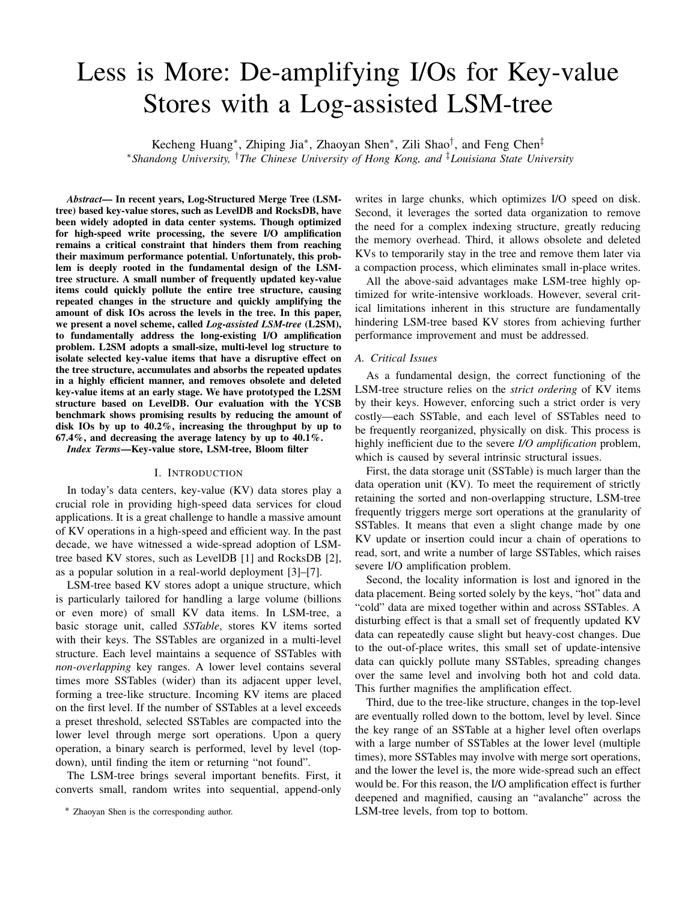$W_i = \alpha$   $H_i + (1 \alpha)$   $S_i$  to calculate a combined value, where  $\alpha$  is a preset weight parameter (0.5 in default).

For hotness  $H$ , the larger the hotter; for sparseness  $S$ , the larger the sparser. To calculate the combined weight of an SSTable, both  $S$  and  $H$  need to be first normalized to the same scale,  $0 \quad 1$ . The normalization is as follows.

When PC happens, we record the maximum hotness  $H_{max}$ and the minimum hotness  $H_{min}$  of all the under-checking SSTables. Thus, the normalized hotness of SSTable  $i$  can be expressed as  $\frac{H_i}{H_{max} - H_{min}}$ . Similarly, for sparseness, when PC happens, we record the maximum sparseness  $S_{max}$  and the minimum sparseness  $S_{min}$  of all the under-checking SSTables.  $S_i$  can be normalized as  $\frac{S_i}{S_{max} - S_{min}}$ . Therefore, the combined weight  $W_i$  for an SSTable can be calculated by  $W_i = \alpha$  $\frac{H_i}{H_{max} H_{min}} + (1 \quad \alpha) \quad \frac{S_i}{S_{max} S_{min}}.$ 

When a tree level is filled up, PC moves the SSTables to the log, in the order of their combined weights from high to low. The SSTable with the highest combined weight is selected first and detached from the LSM-tree, and moved into the log structure. Note that this only involves metadata updates (several linked list operations) without physical data movement on disk; merge sort operations are not needed either. SSTables moved to the log are organized in a linked list. This process repeats until the number of SSTables is below the limit.

Miscellaneous issues. Compared with the LSM-tree levels, a major difference in the SST-Log is that the SSTables in one log level are not sorted and the key ranges of different SSTables may have overlaps. This has two effects.

First, we cannot simply use a binary search to only access one SSTable to search for a target key. We need to search all the SSTables whose key ranges covering the target key, involving multiple disk IOs. To accelerate the query process, we maintain in-memory bloom filters for SSTables in the log. Upon a query, we first find SSTables having the related key ranges. Then we use the bloom filter to quickly locate the SSTables that may contain the target key, and finally perform the in-SSTable lookup.

Second, we may have multiple versions of the same KV item at one level. Since the SSTables in the log also maintain the related metadata that can indicate their freshness, L2SM always begins the search from the newest SSTable that possibly contains the target key. Once the target key is found, we stop the search process and return the item without further searching in the other SSTables. This minimizes the involved I/Os and also guarantees the correctness.

#### *E. Aggregated Compaction*

Aggregated Compaction (AC) is responsible for reclaiming the log space. It attempts to retain the most structure-impactful SSTables in the log, and return the cold and dense SSTables back to the lower level of the tree. When AC happens, we need to particularly consider the following issues.

*Maintaining the query correctness*. A key may have multiple versions of value data existing in the log. It is desirable to accumulate and collapse these multiple versions into one before merging into the lower level. However, this process may



Fig. 6. An example for aggregated compaction.

not be able to be completed at one time (in order to avoid the high overhead). Thus, we must ensure that the same-key data are evicted/merged in a strict chronological order. In other words, the lower-level tree should never contain data newer than the upper-level log.

*Considering both density and hotness*. AC needs to consider both hotness and density of an SSTable to determine whether to continue holding it in the log or not. An extremely sparse or extremely hot SSTable should continue to remain in the log. We need to have a balanced way to integrate both considerations when choosing SSTables for eviction.

*Controlling the involved I/Os*. When merging an SSTable from the log back to the tree, multiple SSTables in the lowerlevel tree could be involved (due to the spanning structure). A sparse SSTable may incur a merge sort operation involving a large number of SSTables. To control the cost of such I/Os, we need to estimate the number of involved SSTables and ensure the incurred I/Os under a reasonable level.

*Removing deleted and obsolete data*. Deleted and obsolete data could also appear in the log. Such data should be removed during AC, rather than drained down to the lower level, thus mitigating the unnecessary I/Os at an early stage.

Compaction process. When the log exceeds its size limit, AC is triggered to return the cold and dense SSTables back to the tree, while keeping the hot and sparse SSTables in the log. To determine the SSTables for eviction, we calculate the combined weight of hotness and density W of all the SSTables in the log (see Section III-D).

The whole process is as follows: (1) Find the coldest-densest "seed" SSTable that has the smallest  $W$  and use this "seed" to recursively find all the SSTables in the log that have key range overlapping with it. Sort all the SSTables based on their version order. (2) Based on the SSTables from Step 1, starting from the oldest SSTable, put it into the victim *Compaction Set* (CS), find the lower-level SSTables in the tree that have overlapping key ranges with SSTables in CS and put them into the victim *Involved Set* (IS). (3) Repeat Step 2 until all the SSTables found in Step 1 are placed in the CS or the ratio of SSTables in the IS and CS is larger than a predefined value (configured as an empirical value 10 to control IO amplification caused by AC). (4) Finally, start real merge sort. Starting from the oldest one first, collapse the SSTables and remove all deleted and obsolete KV items. Then the keys are merged with the overlapping SSTables on the lower tree level, and finally we insert the generated new SSTables into the lower tree level, which completes the AC process.

Figure 6 provides an example to illustrate how AC works. The number in a block indicates its chronological order (the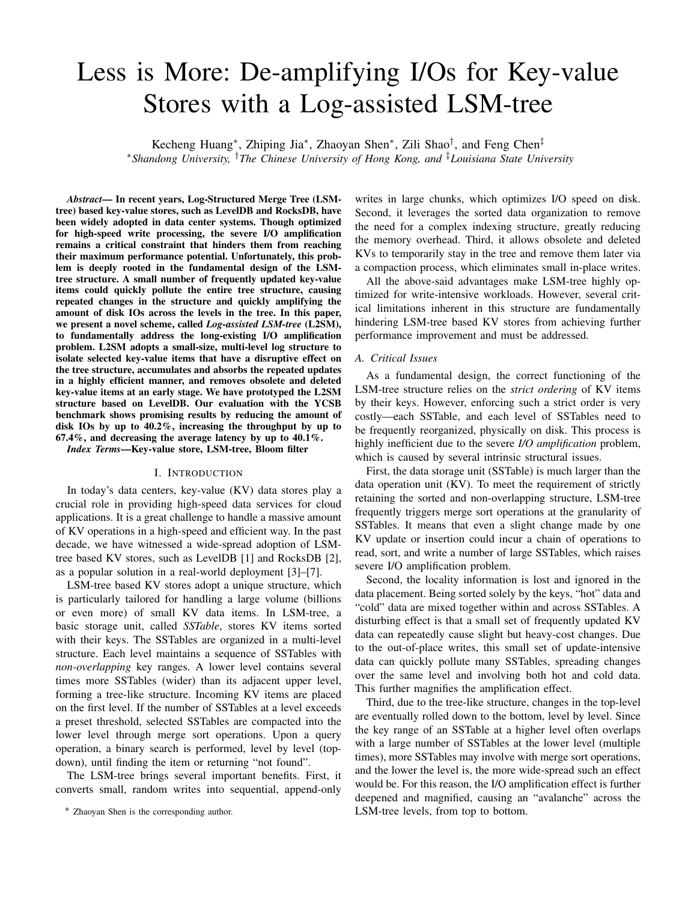smaller the older). Suppose there are six SSTables in log and SSTable 8 with key range "10-20" is the coldest-densest seed. There are three SSTables (6, 14, and 29) overlapping with it. According to the working process of AC, the victim CS includes three SSTables (14, 6, and 8) in the first batch. Although 29 also overlaps with the seed, it is set aside first, since it exceeds the IO limit. Finally, the three SSTables (6, 8, and 14) are compacted with the SSTables that have key range overlaps in the lower tree level.

The aforementioned design brings several benefits. First, we can control the involved SSTables in each compaction process, avoiding the high I/O impact. Second, the old-version data are always drained downstream to the next level before the new version, which guarantees the correctness. Third, multiple overlapping SSTables in the log are merged first. The deleted and obsolete data are removed first, which reduces the amount of KVs before merging with the lower-level SSTables. Finally, both hot and sparse SSTables are safely maintained in the log, ensuring the efficacy of the log structure.

#### IV. PERFORMANCE EVALUATION

In this section, we first introduce our L2SM prototype system and then present and analyze the experimental results.

## *A. Experimental Setup*

We have prototyped L2SM based on Google's LevelDB [1] by adding about 2,000 lines of code. The added code is mainly in db\_impl.cc and version\_set.cc, which are for compaction management and version control, respectively.

To improve the read performance, L2SM maintains additional bloom filters in memory. The original LevelDB maintains a bloom filter on disk for each SSTable, which is loaded into memory when needed. For a fair comparison, in this work, we implemented a version of LevelDB that also uses in-memory bloom filters. We denote the stock LevelDB as "OriLevelDB", and the enhanced LevelDB as "LevelDB". For each implementation, we configure the SSTable size to 5 MB. The capacity growth factor of adjacent levels is 10. Other parameters are configured using the default values of the original LevelDB.

Our experiments are conducted on a workstation, which features an Intel i7-8700 3.2GHz processor, 32GB memory, and a 500GB SSD. For the software, we use Ubuntu 18.04 LTS with Linux Kernel 4.15 and Ext4 file system. For the benchmark, we have extended the standard db bench tool with the Yahoo! Cloud Serving Benchmark (YCSB) suite [13], in which the workload generator is wrapped as a class named generator. Workloads with three different types of distributions, namely *Skewed Latest Zipfian*, *Scrambled Zipfian*, and *Random*, are tested for the evaluation. Each distribution provides a set of workloads with different combinations of KV operations. These distributions can be accessed through API functions, sk\_zip, scr\_zip and normal\_ran.

# *B. Overall Performance*

We first compare the overall performance of the proposed L2SM and LevelDB in terms of throughput (Thousand Operations per Second, a.k.a. KOPS) and average latency. In this set of experiments, we first randomly load 50 million KV items and then issue 50 million mixed KV read/write requests with different distributions to the KV store. The size of KV items varies from 256B to 1KB.

Figure 7(a) presents the evaluation results of workloads with the Skewed Latest Zipfian distribution. The horizontal axis represents the Read:Write ratios (from 0:1 to 9:1) of each workload. The left and right vertical axes show the throughput and latency, respectively.

As shown, L2SM outperforms LevelDB in both throughput and latency across the board. When the Read:Write ratio is 0:1 (write-only), L2SM achieves a throughput of 29.3 KOPS, which is 67.4% higher than that of LevelDB (17.5 KOPS). The throughput gain is mainly due to the collaboration of the proposed PC and the AC. During the working process, PC selects KV items that seriously pollute the LSM-tree and AC moves others to the lower tree level. Thus, the maintenance overhead is significantly mitigated. With the increment of read requests, the performance gain of L2SM over LevelDB decreases. In particular, when the Read:Write ratio of the workloads are 1:9, 3:7, 5:5, 7:3 and 9:1, the relative performance improvement decreases to 59.5%, 41%, 32.5%, 28.4% and 8.7%, respectively. This is as expected, since the optimization strategies mainly focus on writing process. Actually, for read operations, in addition to searching the LSM-tree, L2SM also needs to search the SST-Log. This extra search process would introduce overhead as analyzed later in Section IV-D. Meanwhile, we should note that L2SM still maintains a higher throughput than LevelDB even for very read-intensive workloads. This also indicates the effectiveness of our proposed optimizations like the in-memory bloom filters.

The average latencies of L2SM and LevelDB with different workloads show a similar trend. When there are only write requests in the workload (Read:Write ratio is 0:1), the average request latency of L2SM is 34.11  $\mu$ s, which is 40.1% lower than that of LevelDB. As the ratio of read request increases, the relative latency improvement decreases. For the workloads with Read:Write ratio being 1:9, 3:7, 5:5, 7:3, and 9:1, the latency improvements of L2SM over LevelDB are 37.3%, 29.1%, 24.6%, 22.1%, and 8%, respectively.

We further evaluate L2SM with the workloads of the Scrambled Zipfian and the Random distributions. The results are shown in Figures 7(b) and (c).The similar trend can be observed. L2SM achieves higher improvement for both throughput and latency with write-intensive workloads. For workloads of the Scrambled Zipfian distribution, the highest performance gain of L2SM over LevelDB are 46.3% and 31.3% for throughput and latency, respectively. For workloads of the Random distribution, the highest performance gains of L2SM over LevelDB are 29.6% and 22.9% for throughput and latency, respectively. Note that the performance improvement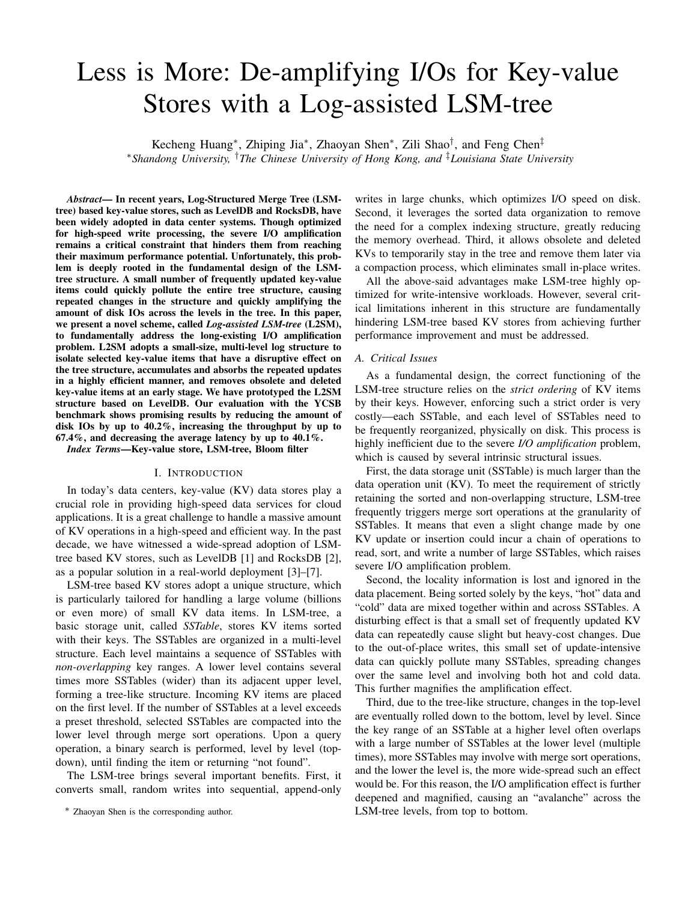

is the lowest for the workloads with the Random distribution. This is because the Random distribution workloads have the weakest access locality and receive the least benefits.

#### *C. Compaction Effect*

The write amplifications (WAs) of these two platforms under different workloads are shown in Figure 8. We can observe that for different workloads, the WAs of LevelDB range from 3.19 to 5.18. However, the WAs of the proposed L2SM design is much lower, ranging from 3.04 to 4.65. For the write-only workload (the Read:Write ratio is 0:1) of the Skewed Latest distribution, L2SM achieves the highest WA improvement, which is 27.8%. With a read-intensive workload (the Read:Write ratio is 9:1) of the Random distribution, L2SM has the lowest WA improvement, which is 17.8%. Based on the result, we can conclude that the proposed L2SM design effectively reduces the KV store maintenance overhead.

Figure 8 also gives the occurrences of compaction and involved files of L2SM and LevelDB with different workloads. In L2SM, by isolating those update-intensive and sparse items in the SST-Log, the occurrences of compaction are reduced remarkably. With the write-only workload (Read:Write  $= 0.1$ ) of the Skewed Latest Zipfian distribution, L2SM triggers 5,523 compactions, which is 45.4% lower than that of LevelDB. The SSTables involved in these compaction operations also decrease from 79,382 to 46,654, which is 41.2% lower. When the ratio of read requests increases to 90%, L2SM can still reduce the occurrences of compaction and the involved SSTables by 25.6% and 17.6%, respectively. For the mixed workloads of the Scrambled Zipfian distribution, L2SM also reduces the occurrences of compaction by 16.8%–42.1%, and the number of involved SSTables by 17.9%–37.5%, compared with LevelDB. Even for the Random workload, which carries fewer hot keys with a weak locality, L2SM still reduces the number of compaction operations by 16.7%–39.4%, and involved SSTables by 18.2%–25.8%, compared to LevelDB.

We further measure the total number of disk IOs of the two designs with different workloads. For the write-only workload, the size of the incoming KV items is about 25 GB. For the workloads of the Random distribution, the total disk IO amount of LevelDB is nearly 398 GB, which is 16.76 times larger than the original input. For L2SM, in contrast, the total disk IO amount is about 318 GB, which is 20.1% lower than that of LevelDB. The workloads of the Random distribution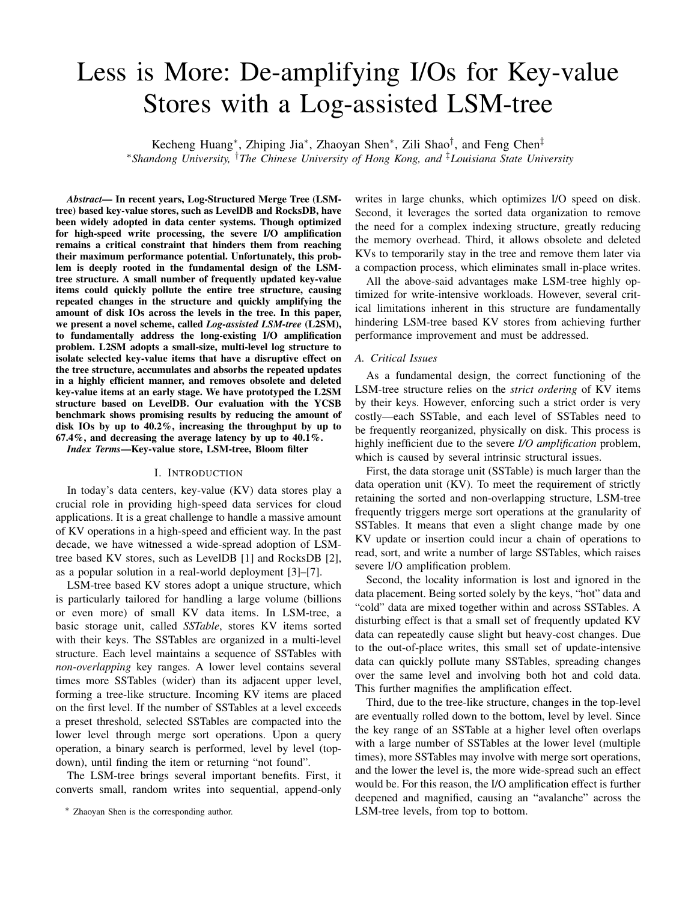

suffer the highest total disk IO. This is because the random requests have weak data locality, which would incur higher maintenance overhead and achieve less benefit. Meanwhile, L2SM still reduces the most total disk IO amount with the workload of the Skewed Latest Zipfian distribution, which is 40.2% lower than that of LevelDB (219.8GB).

#### *D. Read Limitation*

Read. Figure 11(a) depicts the read performance and the relevant memory usage of different workloads between LevelDB and L2SM. Specifically, L2SM provides roughly the same throughput and latency as LevelDB. The throughput of L2SM is inferior to LevelDB by 0.55%–2.82%. The same situation occurs in latency, where L2SM is 0.65%–3.40% slower than LevelDB. As for memory usage, L2SM needs 7.5% to 11.3% more memory space than LevelDB to maintain the bloom filters for SSTables in the log. Compared with the "OriLevelDB" (with on-disk bloom filters), both L2SM and LevelDB show great enhancement on latency and throughput ranging from 44.5%–54.9% and 86.2%–128.3%, respectively. The cost is that more memory space is needed to maintain their bloom filters (61%–123%, compared to OriLevelDB).

Range Query. To evaluate the performance of range query, we use the YCSB benchmark to first issue 50 million KV pairs to populate the database, and then perform 10 million range query requests. The size of these KV pairs varies from 256B to 1KB. The results are shown in Figure 11(b). *L2SM BL* denotes the results of L2SM without any optimization for range queries; *L2SM\_O* denotes the design that organizes the SSTables in each SST-Log in an ordered manner; *L2SM OP* denotes the design that also uses the parallelized search method to perform range queries with two threads. As shown, compared with LevelDB, L2SM without any optimization suffers 57.9% throughput reduction for range queries. Organizing the SSTable in a sorted manner accelerates the process, which alleviates the performance degradation to 36.4%, compared with LevelDB. Parallelizing the search operations further improves the throughput and almost completely hides the performance loss (only 2.9%). Since more threads are involved, the CPU consumption of *L2SM OP* is higher than the stock L2SM.

# *E. Scalability*

To evaluate the scalability of L2SM, we measure the L2SM performance with an increasing number of requests. Same

**1744.8 The relative throughput improvement over LevelDB** is retained **7240.7 Throughput** for the Scrambled Zipfian, and 24.2%–29.1% for the Random **CPU usage** distribution. The latency also shows a stable improvement, **82%-110%**  $\left| \hat{\xi} \right|$  of throughput and latency. When the number of requests **125%-146%** into L2SM first. Figure 9 shows the performance in terms <sup>106%-243%</sup> as the above experiments, 50 million KV items are loaded of throughp<br>
increases fr<br>
obvious per<br>
The relative increases from 40 million to 80 million, L2SM shows no obvious performance degradation compared with LevelDB. at 60.4%–65.2% for the Skewed Latest Zipfian, 47.4%–50.1% 37.5%—39.1% for the Skewed Latest Zipfian, 31.5%–33% for the Scrambled Zipfian, and 20.2%–22.2% for the Random distributions. As for total I/O amount, L2SM saves disk IO at the rate of 41.1%–43% for the Skewed Latest Zipfian, 30%–32.1% for the Scrambled Zipfian, and 21.8%–24.1% in the Random. These results show that L2SM scales well for handling a large amount of KV requests.

#### *F. Comparison with RocksDB and PebblesDB*

We further compare the performance of L2SM with two representative, the state-of-the-art LSM-tree based KV stores, RocksDB [2] and PebblesDB [14]. When comparing with PebblesDB, we increase the log-to-tree ratio from 10% to 50%. Note that the space overhead of PebblesDB over LevelDB is about 200%. The other parameters of L2SM are the same as in Section IV-A. We use the workloads described in Section IV-B to evaluate the performance of the three KV stores.

Figure 12 shows the system latency, throughput, total write, and disk usage comparisons of L2SM with RocksDB and PebblesDB under workloads with the Skewed Zipfian, Scrambled Zipfian, Random, and Uniform distributions. As shown, L2SM outperforms RocksDB across the board. For latency, the improvement of L2SM over RocksDB ranges from 34.9% to 61.1%; for throughput, the improvement is  $55.6\%$  159.5%; for disk IO, L2SM reduces disk writes by up to 69.8%.

Similar trends can be observed when comparing L2SM with PebblesDB. Although L2SM uses much less extra disk space, L2SM outperforms PebblesDB in all the workloads except the Uniform distribution. With the Skewed Zipfian workload, L2SM receives the highest performance gain, 17.9% and 14.4% in terms of throughput and latency, respectively. With the Random workload, L2SM outperforms PebblesDB by 9.9% and 7.3% for throughput and latency, respectively. The overall disk IO saving of L2SM over PebblesDB ranges from 15% to 26.5% in the three workloads.

We have also evaluated the tail latencies for the Skewed Zipfian workload running with the three KV stores. L2SM's 99th percentile tail latency is 0.03% and 0.18% lower than PebblesDB and RocksDB, respectively, which means that L2SM's tail latency remains at a low level with substantially improved throughput.

Our test with the Uniform distribution simulates an appendmostly workload, which has more than 60% of KVs never being updated and 30% being updated only once in a uniform, random manner. Even for such a challenging workload, L2SM incurs minimal overhead. L2SM shows only 1.4%, 2.5%, and 1.7% performance loss in terms of throughput, latency, and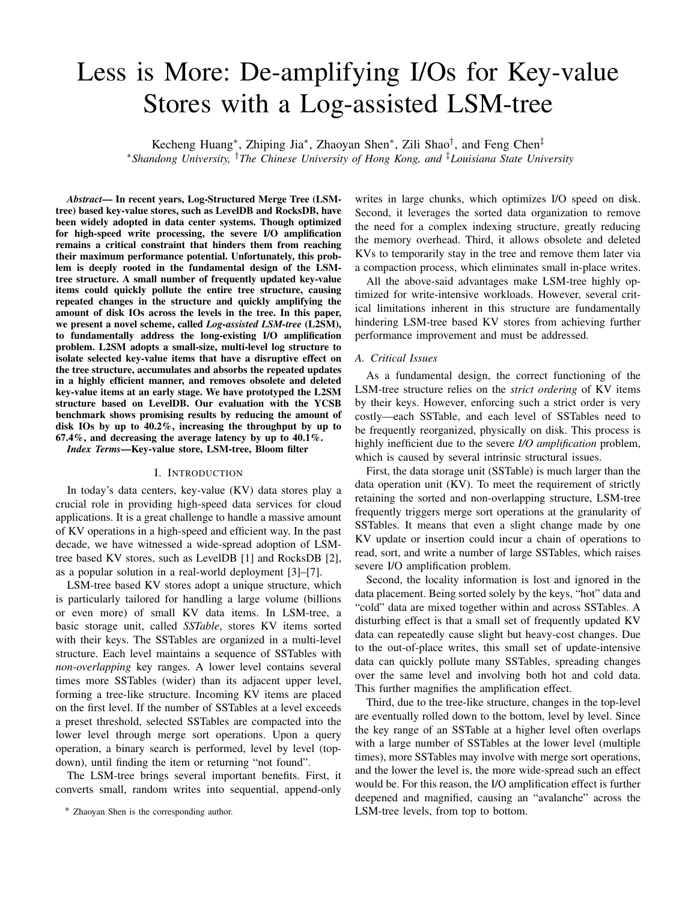

Fig. 12. Performance and I/O comparison with PebblesDB and RocksDB. disk IO, respectively, compared to PebblesDB. Compared to RocksDB, L2SM outperforms it in all workloads.

In terms of disk space consumption, both L2SM and PebblesDB need extra space to maintain the SST-Log structure and the Fragmented-LSM-tree structure, respectively. As shown in Figure 12(b), compared to PebblesDB, L2SM saves up to 26.3% disk space. Compared to RocksDB, PebblesDB consumes 50.2% to 74.3% more disk space, while L2SM needs only 28.4% to 48.7% extra space.

#### *G. Overhead Analysis*

Storage overhead. For storage space, the log at each level of L2SM structure demands more disk space. As described in Section III-B, when determining the log size of each layer, we have a preset space threshold of SST-Log, which is less than 10% of the original LSM-tree. Thus, the extra storage space is less than 10%. We have run different workloads with the Random and Zipfian distributions and recorded the occupied storage of LevelDB and L2SM. Figure 10 shows the storage status of these implementations along the execution process. As expected, for both workloads, the storage requirement of L2SM is larger than LevelDB. For workload of the Scrambled Zipfian distribution, the storage space overhead of L2SM ranges from 4.3% to 9.2%. For the Random distribution, the storage space overhead ranges from 4.2% to 8.7%.

Memory overhead. The memory overhead of L2SM is mainly due to the in-memory bloom filters for SSTables and the HotMap. L2SM maintains in-memory bloom filters to improve read performance. Figure 11(a) provides the memory consumption of these three implementations under different workloads. As shown in the figure, the original LSM-tree (OriLevelDB) requires the least memory, and L2SM requires slightly more memory than LevelDB. Under different workloads, the memory overhead ranges from 3.2% to 11.3%, compared to LevelDB. The overhead mainly comes from the bloom filters for SSTables in the log and the in-memory HotMap maintained by L2SM.

#### V. RELATED WORK

In recent years, many optimizations for LSM-tree based key value stores have been proposed [14]–[21].

Handling write amplification. PebblesDB [14] builds a key-value store using a fragmented log-structured merge tree to combine the design ideas from skip lists and LSM-tree. It relaxes the requirement of maintaining non-overlapping key ranges at each level and introduces guards to avoid rewriting data in the same level, which reduces compaction

**Skewed Zipf** Sambled Zipf Random Uniform **a** partitioned tiering method to reduce write amplification. cost. However, the coarse-grained data structure of PebblesDB incurs severe storage space overhead as evaluated in the experiments. LWC-store [15] uses a partitioning method to vertically group entries and defines lightweight compaction by only merging metadata to decrease write amplification. LSM-trie [16] conducts an LSM-based and prefix-style hash index for managing massive small key-value pairs. It proposes dCompaction [17] defines virtual SSTable and virtual merge to delay the required compaction for lowering the overall compaction overhead. Unlike these schemes, L2SM tries to retain the tree structure and only uses a small SST-Log as an extension to store selected KV items.

> Key & Value separation. WiscKey [22] reduces compaction IOs by separating the keys from the values and only manages the keys and metadata in the LSM-tree, through which the cost of write operations can be greatly decreased. Based on that, HashKV [23] further optimizes the value management using a hash-based structure to improve the read performance. These KV separation-based schemes could bring heavy garbage collection burden and the space efficiency may also be influenced by the value space management.

> Hot & Cold separation. TRIAD [24] allows cold entries to enter the LSM-tree by holding hot entries in memory. However, the small Memtable size refrains the scope of hotness detection and its efficacy. Anti-caching [25] maintains an in-memory LRU chain to separate hot and cold records. Hot records are added to the tail of the chain and cold records are evicted to disks. Siberia [26] logs the access timestamps of all records and analyzes the log offline to predict the hot records. Then hot data is kept in memory and cold data is moved to disk. Funke et al. [27] proposes a hardware-assisted monitoring component, which uses the CPU's Memory-Management Unit to separate hot and cold tuples in HyPer. Cold tuples are further compressed and stored in virtual memory pages. These hot/cold data separation techniques work on individual data records and are used for the purpose of improving read/write performance. In contrast, L2SM uses a mechanism, called HotMap, to separate hot and cold SSTables and aims to minimize I/O amplification.

> Performance optimization. Many prior optimization solutions [28]–[31] aim to directly enhance the performance of LSM-tree based data stores. Monkey [30] identifies the important tuning knobs and environmental parameters that determine the worst-case performance and further models the worst-case lookup and update costs. Its goal is to provide maximum throughput under uniformly random workloads, and for other workloads, it tries to achieve maximum lower-bound throughput. L2SM, in comparison, aims to solve the write amplification issues caused by the structural problem rooted in the LSM-tree itself. By delaying the deletion of invalid data components, LSbM-tree [32] improves the hit ratio of LSM-tree data in the OS page cache. ElasticBF [33] adopts a dynamic bloom filter adjustment policy to tune the false positive rate based on the hotness and access frequency of keys. VT-Tree [34] modifies the merge operation using a stitching